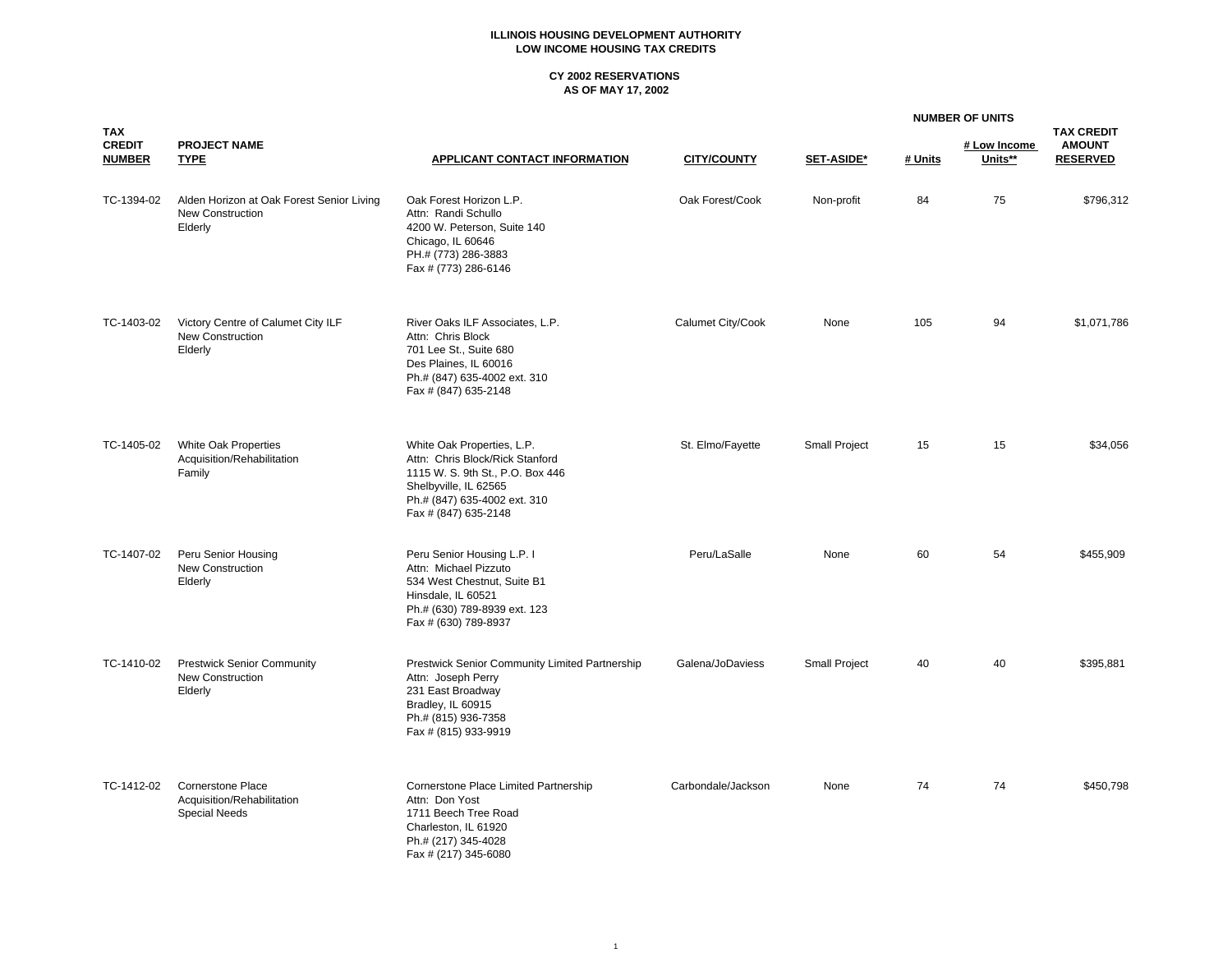## **ILLINOIS HOUSING DEVELOPMENT AUTHORITY LOW INCOME HOUSING TAX CREDITS**

## **AS OF MAY 17, 2002 CY 2002 RESERVATIONS**

| <b>TAX</b><br><b>CREDIT</b><br><b>NUMBER</b> | <b>PROJECT NAME</b><br><b>TYPE</b>                                              | APPLICANT CONTACT INFORMATION                                                                                                                                                      | <b>CITY/COUNTY</b> |                      | <b>NUMBER OF UNITS</b> |                         |                                                       |
|----------------------------------------------|---------------------------------------------------------------------------------|------------------------------------------------------------------------------------------------------------------------------------------------------------------------------------|--------------------|----------------------|------------------------|-------------------------|-------------------------------------------------------|
|                                              |                                                                                 |                                                                                                                                                                                    |                    | SET-ASIDE*           | # Units                | # Low Income<br>Units** | <b>TAX CREDIT</b><br><b>AMOUNT</b><br><b>RESERVED</b> |
| TC-1394-02                                   | Alden Horizon at Oak Forest Senior Living<br><b>New Construction</b><br>Elderly | Oak Forest Horizon L.P.<br>Attn: Randi Schullo<br>4200 W. Peterson, Suite 140<br>Chicago, IL 60646<br>PH.# (773) 286-3883<br>Fax # (773) 286-6146                                  | Oak Forest/Cook    | Non-profit           | 84                     | 75                      | \$796,312                                             |
| TC-1403-02                                   | Victory Centre of Calumet City ILF<br><b>New Construction</b><br>Elderly        | River Oaks ILF Associates, L.P.<br>Attn: Chris Block<br>701 Lee St., Suite 680<br>Des Plaines, IL 60016<br>Ph.# (847) 635-4002 ext. 310<br>Fax # (847) 635-2148                    | Calumet City/Cook  | None                 | 105                    | 94                      | \$1,071,786                                           |
| TC-1405-02                                   | White Oak Properties<br>Acquisition/Rehabilitation<br>Family                    | White Oak Properties, L.P.<br>Attn: Chris Block/Rick Stanford<br>1115 W. S. 9th St., P.O. Box 446<br>Shelbyville, IL 62565<br>Ph.# (847) 635-4002 ext. 310<br>Fax # (847) 635-2148 | St. Elmo/Fayette   | <b>Small Project</b> | 15                     | 15                      | \$34,056                                              |
| TC-1407-02                                   | Peru Senior Housing<br>New Construction<br>Elderly                              | Peru Senior Housing L.P. I<br>Attn: Michael Pizzuto<br>534 West Chestnut, Suite B1<br>Hinsdale, IL 60521<br>Ph.# (630) 789-8939 ext. 123<br>Fax # (630) 789-8937                   | Peru/LaSalle       | None                 | 60                     | 54                      | \$455,909                                             |
| TC-1410-02                                   | <b>Prestwick Senior Community</b><br>New Construction<br>Elderly                | Prestwick Senior Community Limited Partnership<br>Attn: Joseph Perry<br>231 East Broadway<br>Bradley, IL 60915<br>Ph.# (815) 936-7358<br>Fax # (815) 933-9919                      | Galena/JoDaviess   | Small Project        | 40                     | 40                      | \$395,881                                             |
| TC-1412-02                                   | <b>Cornerstone Place</b><br>Acquisition/Rehabilitation<br><b>Special Needs</b>  | Cornerstone Place Limited Partnership<br>Attn: Don Yost<br>1711 Beech Tree Road<br>Charleston, IL 61920<br>Ph.# (217) 345-4028<br>Fax # (217) 345-6080                             | Carbondale/Jackson | None                 | 74                     | 74                      | \$450,798                                             |